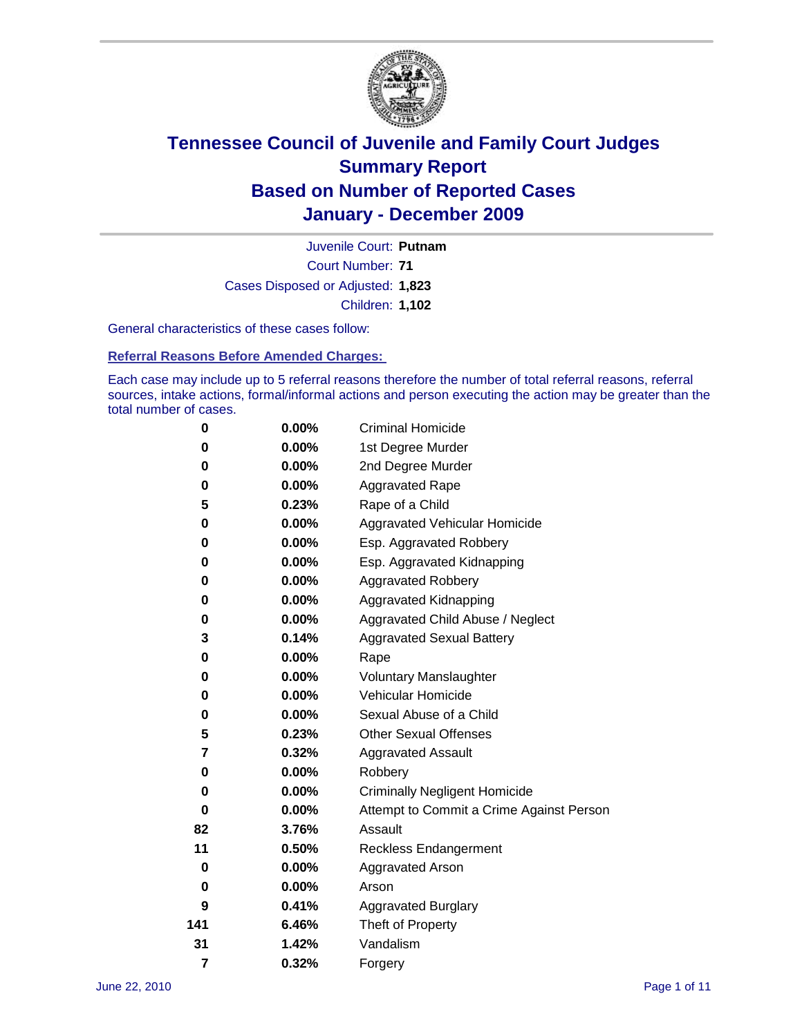

Court Number: **71** Juvenile Court: **Putnam** Cases Disposed or Adjusted: **1,823** Children: **1,102**

General characteristics of these cases follow:

**Referral Reasons Before Amended Charges:** 

Each case may include up to 5 referral reasons therefore the number of total referral reasons, referral sources, intake actions, formal/informal actions and person executing the action may be greater than the total number of cases.

| 0   | $0.00\%$ | <b>Criminal Homicide</b>                 |
|-----|----------|------------------------------------------|
| 0   | 0.00%    | 1st Degree Murder                        |
| 0   | $0.00\%$ | 2nd Degree Murder                        |
| 0   | $0.00\%$ | <b>Aggravated Rape</b>                   |
| 5   | 0.23%    | Rape of a Child                          |
| 0   | 0.00%    | Aggravated Vehicular Homicide            |
| 0   | 0.00%    | Esp. Aggravated Robbery                  |
| 0   | $0.00\%$ | Esp. Aggravated Kidnapping               |
| 0   | $0.00\%$ | <b>Aggravated Robbery</b>                |
| 0   | $0.00\%$ | Aggravated Kidnapping                    |
| 0   | 0.00%    | Aggravated Child Abuse / Neglect         |
| 3   | 0.14%    | <b>Aggravated Sexual Battery</b>         |
| 0   | 0.00%    | Rape                                     |
| 0   | $0.00\%$ | <b>Voluntary Manslaughter</b>            |
| 0   | 0.00%    | Vehicular Homicide                       |
| 0   | 0.00%    | Sexual Abuse of a Child                  |
| 5   | 0.23%    | <b>Other Sexual Offenses</b>             |
| 7   | 0.32%    | <b>Aggravated Assault</b>                |
| 0   | $0.00\%$ | Robbery                                  |
| 0   | 0.00%    | <b>Criminally Negligent Homicide</b>     |
| 0   | $0.00\%$ | Attempt to Commit a Crime Against Person |
| 82  | 3.76%    | Assault                                  |
| 11  | 0.50%    | <b>Reckless Endangerment</b>             |
| 0   | 0.00%    | <b>Aggravated Arson</b>                  |
| 0   | 0.00%    | Arson                                    |
| 9   | 0.41%    | <b>Aggravated Burglary</b>               |
| 141 | 6.46%    | Theft of Property                        |
| 31  | 1.42%    | Vandalism                                |
| 7   | 0.32%    | Forgery                                  |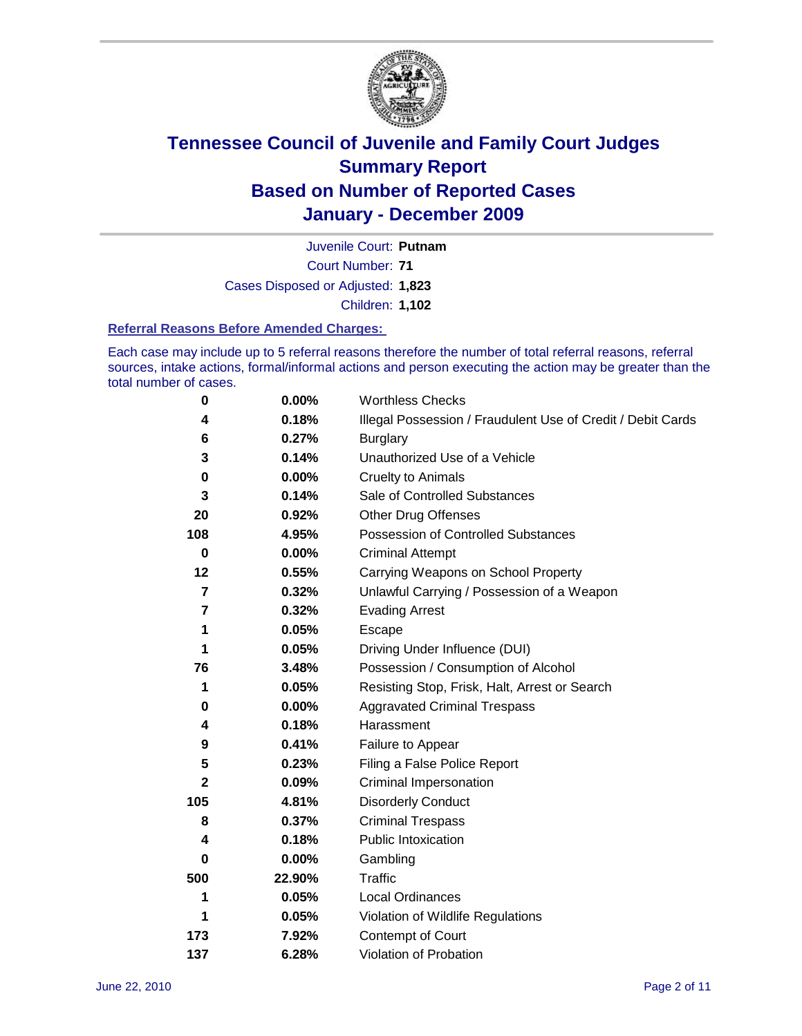

Court Number: **71** Juvenile Court: **Putnam** Cases Disposed or Adjusted: **1,823** Children: **1,102**

#### **Referral Reasons Before Amended Charges:**

Each case may include up to 5 referral reasons therefore the number of total referral reasons, referral sources, intake actions, formal/informal actions and person executing the action may be greater than the total number of cases.

| $\pmb{0}$               | 0.00%    | <b>Worthless Checks</b>                                     |
|-------------------------|----------|-------------------------------------------------------------|
| 4                       | 0.18%    | Illegal Possession / Fraudulent Use of Credit / Debit Cards |
| 6                       | 0.27%    | <b>Burglary</b>                                             |
| 3                       | 0.14%    | Unauthorized Use of a Vehicle                               |
| $\pmb{0}$               | $0.00\%$ | <b>Cruelty to Animals</b>                                   |
| 3                       | 0.14%    | Sale of Controlled Substances                               |
| 20                      | 0.92%    | <b>Other Drug Offenses</b>                                  |
| 108                     | 4.95%    | Possession of Controlled Substances                         |
| 0                       | $0.00\%$ | <b>Criminal Attempt</b>                                     |
| 12                      | 0.55%    | Carrying Weapons on School Property                         |
| $\overline{\mathbf{r}}$ | 0.32%    | Unlawful Carrying / Possession of a Weapon                  |
| 7                       | 0.32%    | <b>Evading Arrest</b>                                       |
| 1                       | 0.05%    | Escape                                                      |
| 1                       | 0.05%    | Driving Under Influence (DUI)                               |
| 76                      | 3.48%    | Possession / Consumption of Alcohol                         |
| 1                       | 0.05%    | Resisting Stop, Frisk, Halt, Arrest or Search               |
| 0                       | $0.00\%$ | <b>Aggravated Criminal Trespass</b>                         |
| 4                       | 0.18%    | Harassment                                                  |
| 9                       | 0.41%    | Failure to Appear                                           |
| 5                       | 0.23%    | Filing a False Police Report                                |
| 2                       | 0.09%    | Criminal Impersonation                                      |
| 105                     | 4.81%    | <b>Disorderly Conduct</b>                                   |
| 8                       | 0.37%    | <b>Criminal Trespass</b>                                    |
| 4                       | 0.18%    | <b>Public Intoxication</b>                                  |
| 0                       | 0.00%    | Gambling                                                    |
| 500                     | 22.90%   | <b>Traffic</b>                                              |
| 1                       | 0.05%    | <b>Local Ordinances</b>                                     |
| 1                       | 0.05%    | Violation of Wildlife Regulations                           |
| 173                     | 7.92%    | Contempt of Court                                           |
| 137                     | 6.28%    | Violation of Probation                                      |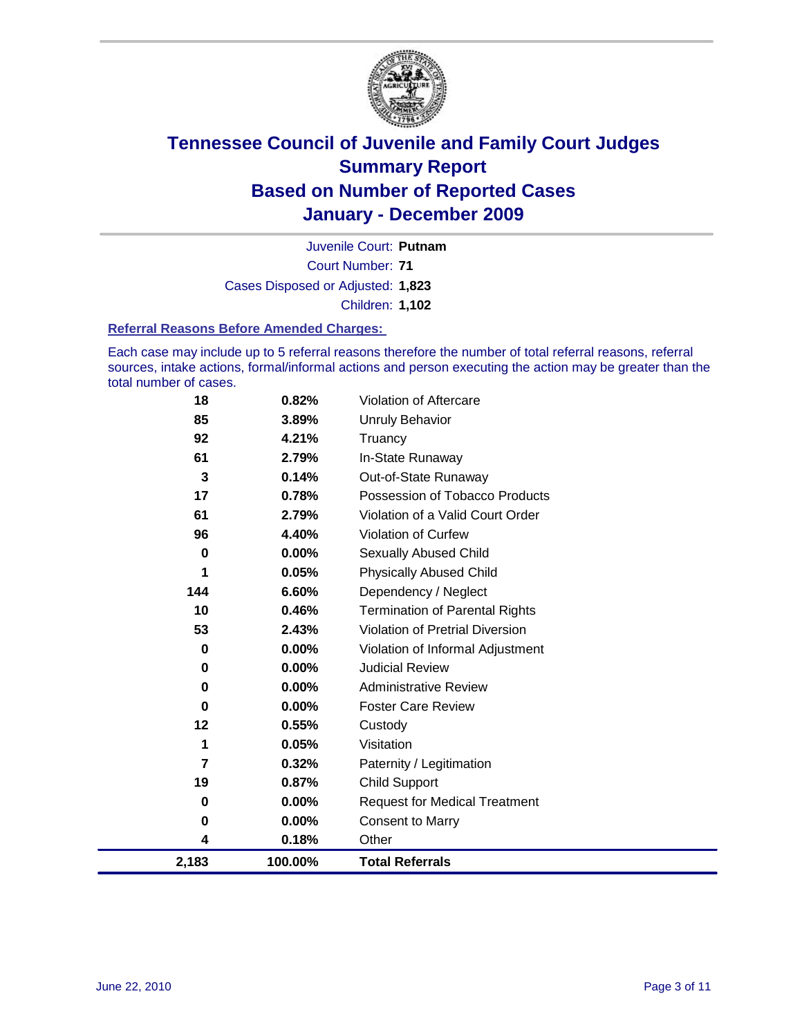

Court Number: **71** Juvenile Court: **Putnam** Cases Disposed or Adjusted: **1,823** Children: **1,102**

#### **Referral Reasons Before Amended Charges:**

Each case may include up to 5 referral reasons therefore the number of total referral reasons, referral sources, intake actions, formal/informal actions and person executing the action may be greater than the total number of cases.

| 0<br>0<br>0<br>12<br>1<br>7<br>19<br>0<br>0<br>4 | 0.00%<br>$0.00\%$<br>0.00%<br>0.55%<br>0.05%<br>0.32%<br>0.87%<br>$0.00\%$<br>0.00%<br>0.18% | <b>Judicial Review</b><br><b>Administrative Review</b><br><b>Foster Care Review</b><br>Custody<br>Visitation<br>Paternity / Legitimation<br><b>Child Support</b><br><b>Request for Medical Treatment</b><br><b>Consent to Marry</b><br>Other |
|--------------------------------------------------|----------------------------------------------------------------------------------------------|----------------------------------------------------------------------------------------------------------------------------------------------------------------------------------------------------------------------------------------------|
|                                                  |                                                                                              |                                                                                                                                                                                                                                              |
|                                                  |                                                                                              |                                                                                                                                                                                                                                              |
|                                                  |                                                                                              |                                                                                                                                                                                                                                              |
|                                                  |                                                                                              |                                                                                                                                                                                                                                              |
|                                                  |                                                                                              |                                                                                                                                                                                                                                              |
|                                                  |                                                                                              |                                                                                                                                                                                                                                              |
|                                                  |                                                                                              |                                                                                                                                                                                                                                              |
|                                                  |                                                                                              |                                                                                                                                                                                                                                              |
|                                                  |                                                                                              |                                                                                                                                                                                                                                              |
|                                                  |                                                                                              |                                                                                                                                                                                                                                              |
| 0                                                | 0.00%                                                                                        | Violation of Informal Adjustment                                                                                                                                                                                                             |
| 53                                               | 2.43%                                                                                        | <b>Violation of Pretrial Diversion</b>                                                                                                                                                                                                       |
| 10                                               |                                                                                              | <b>Termination of Parental Rights</b>                                                                                                                                                                                                        |
|                                                  |                                                                                              | Dependency / Neglect                                                                                                                                                                                                                         |
|                                                  |                                                                                              | <b>Physically Abused Child</b>                                                                                                                                                                                                               |
|                                                  |                                                                                              | <b>Sexually Abused Child</b>                                                                                                                                                                                                                 |
|                                                  |                                                                                              | <b>Violation of Curfew</b>                                                                                                                                                                                                                   |
|                                                  |                                                                                              | Violation of a Valid Court Order                                                                                                                                                                                                             |
|                                                  |                                                                                              | Possession of Tobacco Products                                                                                                                                                                                                               |
|                                                  |                                                                                              | Out-of-State Runaway                                                                                                                                                                                                                         |
|                                                  |                                                                                              | Truancy<br>In-State Runaway                                                                                                                                                                                                                  |
|                                                  |                                                                                              | <b>Unruly Behavior</b>                                                                                                                                                                                                                       |
|                                                  |                                                                                              | <b>Violation of Aftercare</b>                                                                                                                                                                                                                |
|                                                  | 18<br>85<br>92<br>61<br>3<br>17<br>61<br>96<br>$\bf{0}$<br>1<br>144                          | 0.82%<br>3.89%<br>4.21%<br>2.79%<br>0.14%<br>0.78%<br>2.79%<br>4.40%<br>0.00%<br>0.05%<br>6.60%<br>0.46%                                                                                                                                     |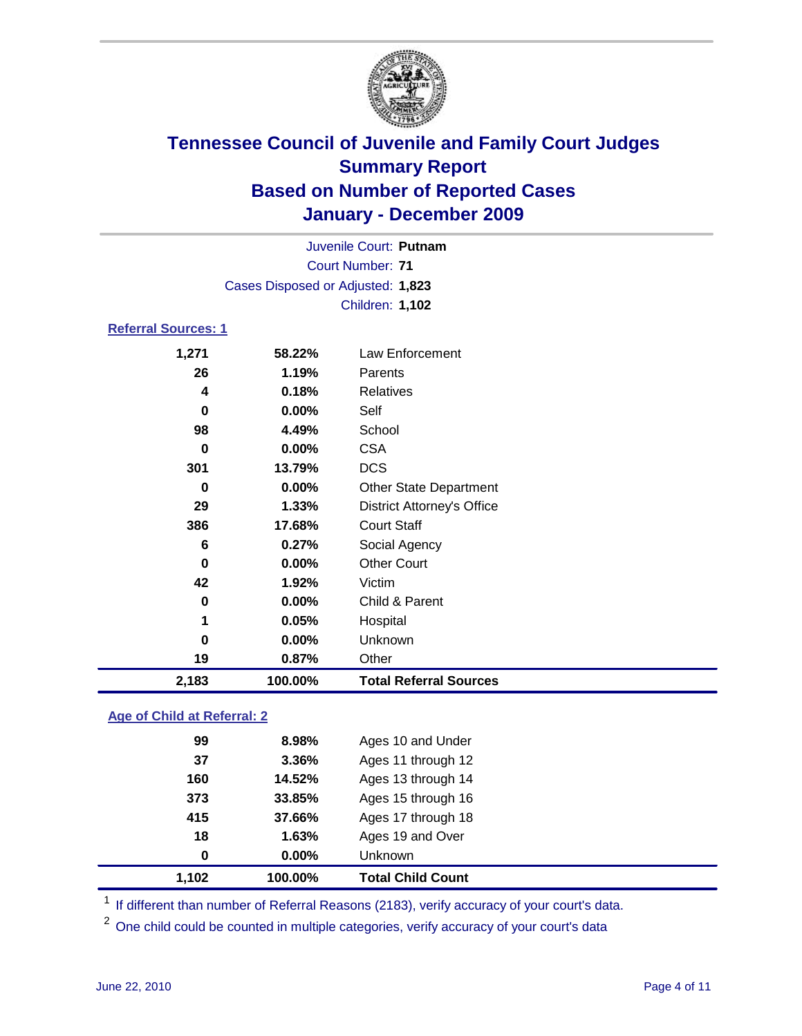

| Juvenile Court: Putnam            |                            |                                   |  |  |  |
|-----------------------------------|----------------------------|-----------------------------------|--|--|--|
|                                   | <b>Court Number: 71</b>    |                                   |  |  |  |
| Cases Disposed or Adjusted: 1,823 |                            |                                   |  |  |  |
|                                   | <b>Children: 1,102</b>     |                                   |  |  |  |
|                                   | <b>Referral Sources: 1</b> |                                   |  |  |  |
| 1,271                             | 58.22%                     | Law Enforcement                   |  |  |  |
| 26                                | 1.19%                      | Parents                           |  |  |  |
| 4                                 | 0.18%                      | <b>Relatives</b>                  |  |  |  |
| 0                                 | 0.00%                      | Self                              |  |  |  |
| 98                                | 4.49%                      | School                            |  |  |  |
| $\bf{0}$                          | 0.00%                      | <b>CSA</b>                        |  |  |  |
| 301                               | 13.79%                     | <b>DCS</b>                        |  |  |  |
| 0                                 | 0.00%                      | <b>Other State Department</b>     |  |  |  |
| 29                                | 1.33%                      | <b>District Attorney's Office</b> |  |  |  |
| 386                               | 17.68%                     | <b>Court Staff</b>                |  |  |  |
| 6                                 | 0.27%                      | Social Agency                     |  |  |  |
| $\bf{0}$                          | 0.00%                      | <b>Other Court</b>                |  |  |  |
| 42                                | 1.92%                      | Victim                            |  |  |  |
| 0                                 | 0.00%                      | Child & Parent                    |  |  |  |
| 1                                 | 0.05%                      | Hospital                          |  |  |  |
| 0                                 | 0.00%                      | Unknown                           |  |  |  |
| 19                                | 0.87%                      | Other                             |  |  |  |
| 2,183                             | 100.00%                    | <b>Total Referral Sources</b>     |  |  |  |

### **Age of Child at Referral: 2**

| 1,102    | 100.00% | <b>Total Child Count</b> |
|----------|---------|--------------------------|
| $\bf{0}$ | 0.00%   | Unknown                  |
| 18       | 1.63%   | Ages 19 and Over         |
| 415      | 37.66%  | Ages 17 through 18       |
| 373      | 33.85%  | Ages 15 through 16       |
| 160      | 14.52%  | Ages 13 through 14       |
| 37       | 3.36%   | Ages 11 through 12       |
| 99       | 8.98%   | Ages 10 and Under        |
|          |         |                          |

<sup>1</sup> If different than number of Referral Reasons (2183), verify accuracy of your court's data.

<sup>2</sup> One child could be counted in multiple categories, verify accuracy of your court's data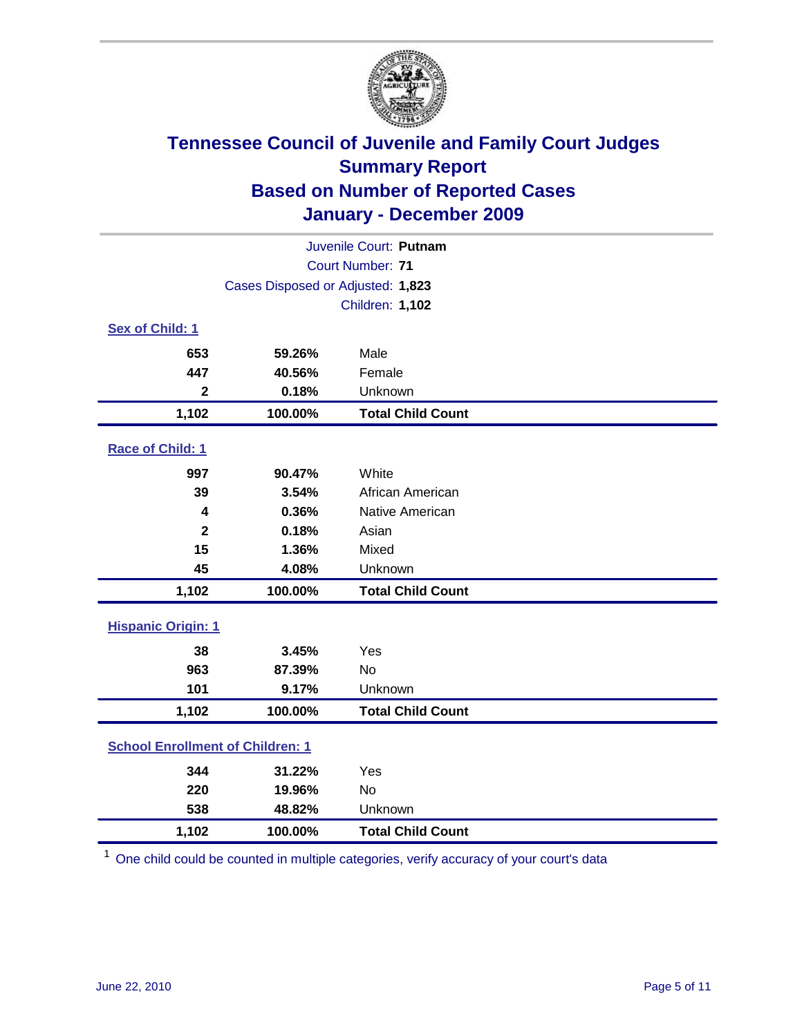

| Juvenile Court: Putnam                  |                                   |                          |  |  |
|-----------------------------------------|-----------------------------------|--------------------------|--|--|
| <b>Court Number: 71</b>                 |                                   |                          |  |  |
|                                         | Cases Disposed or Adjusted: 1,823 |                          |  |  |
|                                         | <b>Children: 1,102</b>            |                          |  |  |
| Sex of Child: 1                         |                                   |                          |  |  |
| 653                                     | 59.26%                            | Male                     |  |  |
| 447                                     | 40.56%                            | Female                   |  |  |
| $\mathbf{2}$                            | 0.18%                             | Unknown                  |  |  |
| 1,102                                   | 100.00%                           | <b>Total Child Count</b> |  |  |
| Race of Child: 1                        |                                   |                          |  |  |
| 997                                     | 90.47%                            | White                    |  |  |
| 39                                      | 3.54%                             | African American         |  |  |
| 4                                       | 0.36%                             | Native American          |  |  |
| $\overline{\mathbf{2}}$                 | 0.18%                             | Asian                    |  |  |
| 15                                      | 1.36%                             | Mixed                    |  |  |
| 45                                      | 4.08%                             | Unknown                  |  |  |
| 1,102                                   | 100.00%                           | <b>Total Child Count</b> |  |  |
| <b>Hispanic Origin: 1</b>               |                                   |                          |  |  |
| 38                                      | 3.45%                             | Yes                      |  |  |
| 963                                     | 87.39%                            | <b>No</b>                |  |  |
| 101                                     | 9.17%                             | Unknown                  |  |  |
| 1,102                                   | 100.00%                           | <b>Total Child Count</b> |  |  |
| <b>School Enrollment of Children: 1</b> |                                   |                          |  |  |
| 344                                     | 31.22%                            | Yes                      |  |  |
| 220                                     | 19.96%                            | No                       |  |  |
| 538                                     | 48.82%                            | Unknown                  |  |  |
| 1,102                                   | 100.00%                           | <b>Total Child Count</b> |  |  |

<sup>1</sup> One child could be counted in multiple categories, verify accuracy of your court's data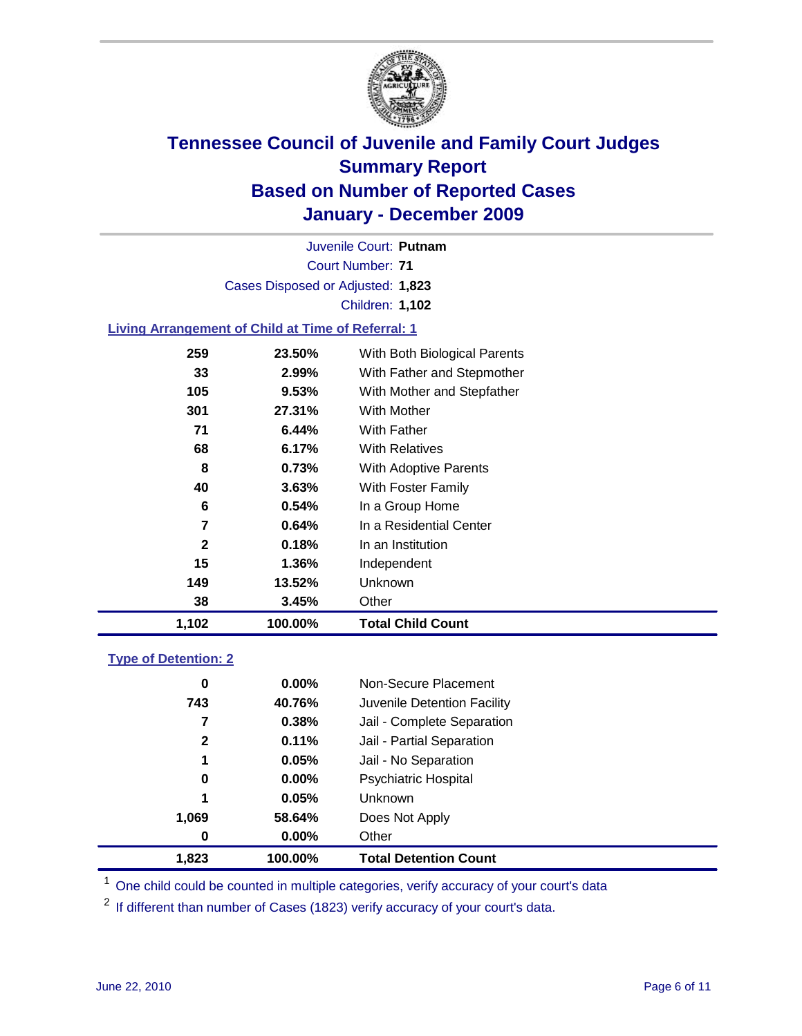

Court Number: **71** Juvenile Court: **Putnam** Cases Disposed or Adjusted: **1,823** Children: **1,102**

### **Living Arrangement of Child at Time of Referral: 1**

| 1,102        | 100.00%  | <b>Total Child Count</b>     |
|--------------|----------|------------------------------|
| 38           | 3.45%    | Other                        |
| 149          | 13.52%   | Unknown                      |
| 15           | 1.36%    | Independent                  |
| $\mathbf{2}$ | 0.18%    | In an Institution            |
| 7            | 0.64%    | In a Residential Center      |
| 6            | $0.54\%$ | In a Group Home              |
| 40           | 3.63%    | With Foster Family           |
| 8            | 0.73%    | With Adoptive Parents        |
| 68           | 6.17%    | <b>With Relatives</b>        |
| 71           | 6.44%    | <b>With Father</b>           |
| 301          | 27.31%   | <b>With Mother</b>           |
| 105          | 9.53%    | With Mother and Stepfather   |
| 33           | 2.99%    | With Father and Stepmother   |
| 259          | 23.50%   | With Both Biological Parents |
|              |          |                              |

### **Type of Detention: 2**

| 1,823        | 100.00%  | <b>Total Detention Count</b> |  |
|--------------|----------|------------------------------|--|
| 0            | $0.00\%$ | Other                        |  |
| 1,069        | 58.64%   | Does Not Apply               |  |
| 1            | 0.05%    | Unknown                      |  |
| 0            | 0.00%    | <b>Psychiatric Hospital</b>  |  |
| 1            | 0.05%    | Jail - No Separation         |  |
| $\mathbf{2}$ | 0.11%    | Jail - Partial Separation    |  |
| 7            | 0.38%    | Jail - Complete Separation   |  |
| 743          | 40.76%   | Juvenile Detention Facility  |  |
| 0            | $0.00\%$ | Non-Secure Placement         |  |
|              |          |                              |  |

<sup>1</sup> One child could be counted in multiple categories, verify accuracy of your court's data

<sup>2</sup> If different than number of Cases (1823) verify accuracy of your court's data.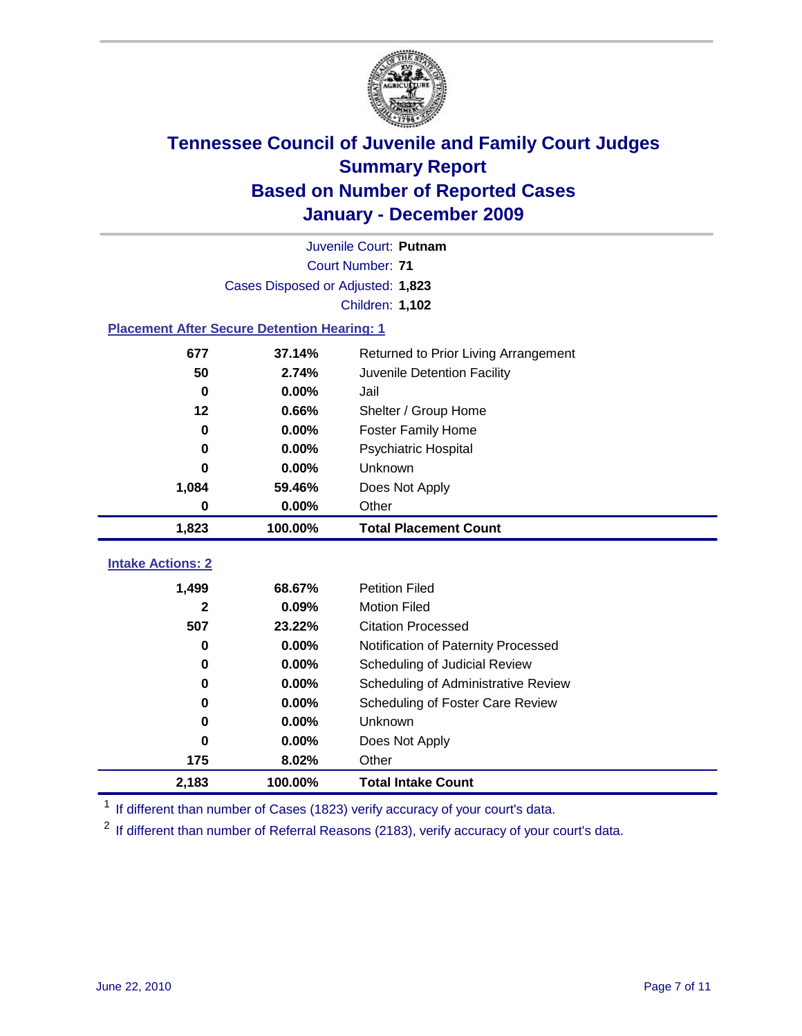

| Juvenile Court: Putnam                             |                                   |                                      |  |  |  |
|----------------------------------------------------|-----------------------------------|--------------------------------------|--|--|--|
|                                                    | <b>Court Number: 71</b>           |                                      |  |  |  |
|                                                    | Cases Disposed or Adjusted: 1,823 |                                      |  |  |  |
|                                                    |                                   | <b>Children: 1,102</b>               |  |  |  |
| <b>Placement After Secure Detention Hearing: 1</b> |                                   |                                      |  |  |  |
| 677                                                | 37.14%                            | Returned to Prior Living Arrangement |  |  |  |
| 50                                                 | 2.74%                             | Juvenile Detention Facility          |  |  |  |
| $\mathbf 0$                                        | 0.00%                             | Jail                                 |  |  |  |
| $12 \,$                                            | 0.66%                             | Shelter / Group Home                 |  |  |  |
| $\mathbf 0$                                        | 0.00%                             | <b>Foster Family Home</b>            |  |  |  |
| 0                                                  | 0.00%                             | Psychiatric Hospital                 |  |  |  |
| 0                                                  | 0.00%                             | Unknown                              |  |  |  |
| 1,084                                              | 59.46%                            | Does Not Apply                       |  |  |  |
| 0                                                  | 0.00%                             | Other                                |  |  |  |
|                                                    |                                   |                                      |  |  |  |
| 1,823                                              | 100.00%                           | <b>Total Placement Count</b>         |  |  |  |
|                                                    |                                   |                                      |  |  |  |
| <b>Intake Actions: 2</b>                           |                                   |                                      |  |  |  |
| 1,499                                              | 68.67%                            | <b>Petition Filed</b>                |  |  |  |
| 2                                                  | 0.09%                             | <b>Motion Filed</b>                  |  |  |  |
| 507                                                | 23.22%                            | <b>Citation Processed</b>            |  |  |  |
| 0                                                  | 0.00%                             | Notification of Paternity Processed  |  |  |  |
| 0                                                  | 0.00%                             | Scheduling of Judicial Review        |  |  |  |
| 0                                                  | 0.00%                             | Scheduling of Administrative Review  |  |  |  |
| 0                                                  | 0.00%                             | Scheduling of Foster Care Review     |  |  |  |
| 0                                                  | 0.00%                             | Unknown                              |  |  |  |
| 0                                                  | 0.00%                             | Does Not Apply                       |  |  |  |
| 175                                                | 8.02%                             | Other                                |  |  |  |

<sup>1</sup> If different than number of Cases (1823) verify accuracy of your court's data.

<sup>2</sup> If different than number of Referral Reasons (2183), verify accuracy of your court's data.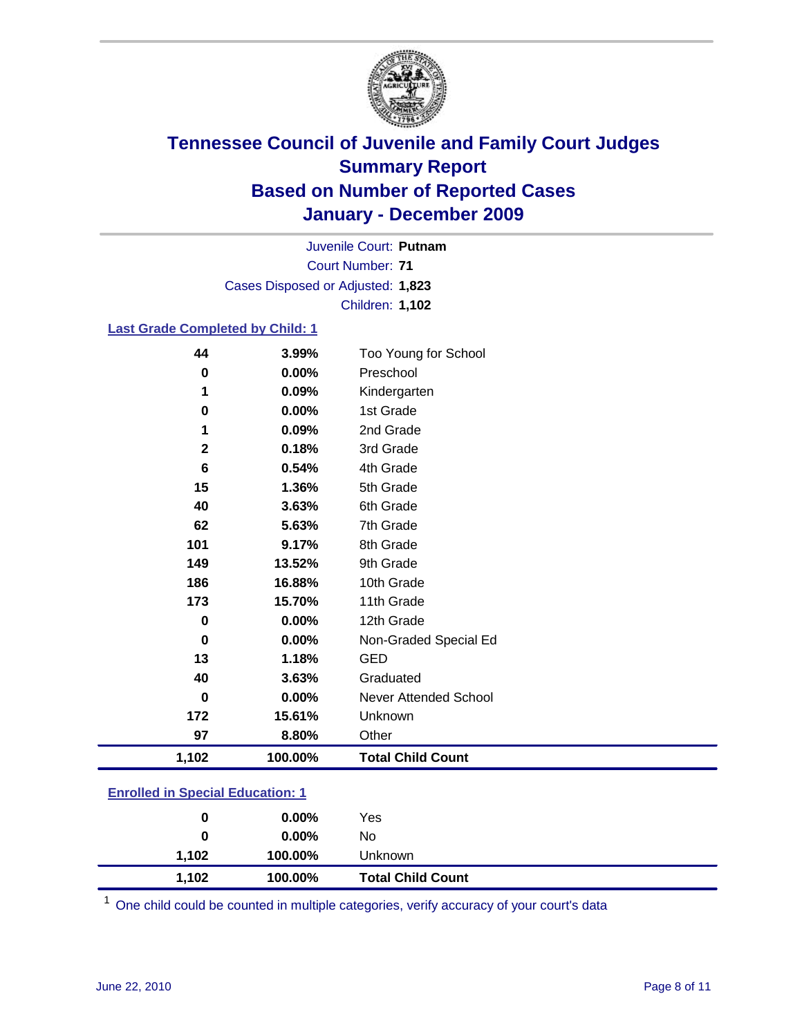

Court Number: **71** Juvenile Court: **Putnam** Cases Disposed or Adjusted: **1,823** Children: **1,102**

#### **Last Grade Completed by Child: 1**

| 44                                      | 3.99%   | Too Young for School         |  |
|-----------------------------------------|---------|------------------------------|--|
| $\bf{0}$                                | 0.00%   | Preschool                    |  |
| 1                                       | 0.09%   | Kindergarten                 |  |
| 0                                       | 0.00%   | 1st Grade                    |  |
| 1                                       | 0.09%   | 2nd Grade                    |  |
| $\mathbf 2$                             | 0.18%   | 3rd Grade                    |  |
| 6                                       | 0.54%   | 4th Grade                    |  |
| 15                                      | 1.36%   | 5th Grade                    |  |
| 40                                      | 3.63%   | 6th Grade                    |  |
| 62                                      | 5.63%   | 7th Grade                    |  |
| 101                                     | 9.17%   | 8th Grade                    |  |
| 149                                     | 13.52%  | 9th Grade                    |  |
| 186                                     | 16.88%  | 10th Grade                   |  |
| 173                                     | 15.70%  | 11th Grade                   |  |
| $\bf{0}$                                | 0.00%   | 12th Grade                   |  |
| $\mathbf 0$                             | 0.00%   | Non-Graded Special Ed        |  |
| 13                                      | 1.18%   | <b>GED</b>                   |  |
| 40                                      | 3.63%   | Graduated                    |  |
| 0                                       | 0.00%   | <b>Never Attended School</b> |  |
| 172                                     | 15.61%  | Unknown                      |  |
| 97                                      | 8.80%   | Other                        |  |
| 1,102                                   | 100.00% | <b>Total Child Count</b>     |  |
| <b>Enrolled in Special Education: 1</b> |         |                              |  |

| 1.102                            | 100.00%  | <b>Total Child Count</b> |  |
|----------------------------------|----------|--------------------------|--|
| 1.102                            | 100.00%  | Unknown                  |  |
| 0                                | $0.00\%$ | No                       |  |
|                                  | $0.00\%$ | Yes                      |  |
| Enfolled in opecial Equeation: 1 |          |                          |  |

One child could be counted in multiple categories, verify accuracy of your court's data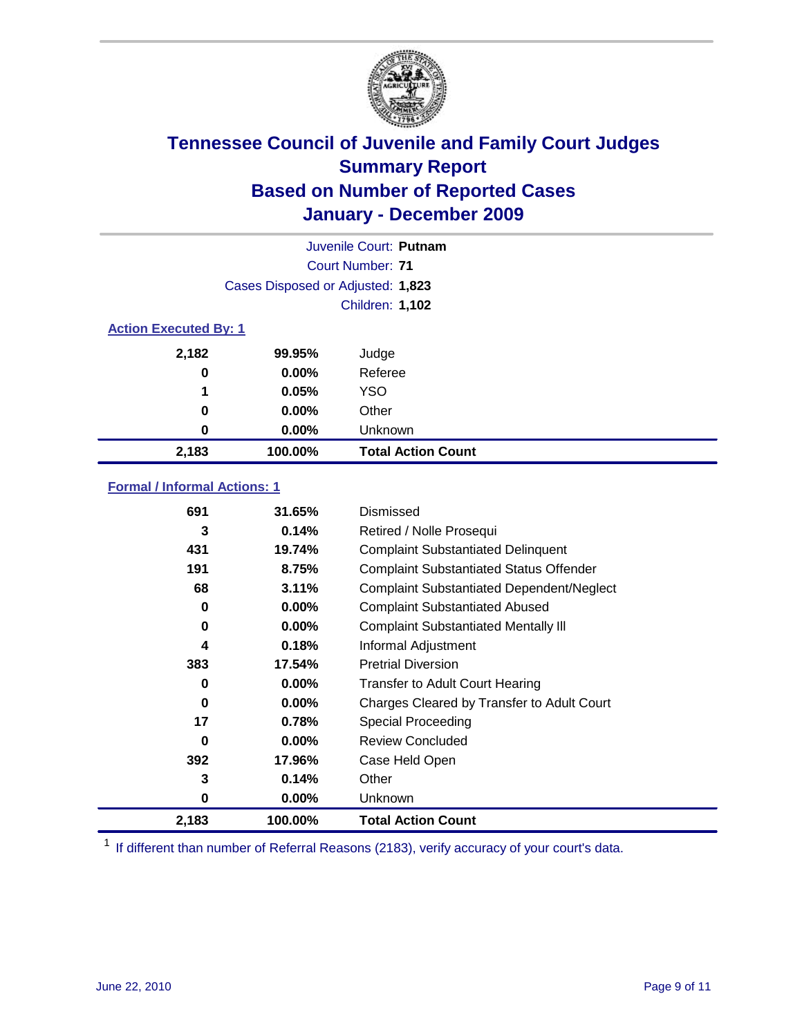

| Juvenile Court: Putnam       |                                   |                           |  |  |  |
|------------------------------|-----------------------------------|---------------------------|--|--|--|
|                              | Court Number: 71                  |                           |  |  |  |
|                              | Cases Disposed or Adjusted: 1,823 |                           |  |  |  |
|                              | <b>Children: 1,102</b>            |                           |  |  |  |
| <b>Action Executed By: 1</b> |                                   |                           |  |  |  |
| 2,182                        | 99.95%                            | Judge                     |  |  |  |
| 0                            | $0.00\%$                          | Referee                   |  |  |  |
| 1                            | 0.05%                             | <b>YSO</b>                |  |  |  |
| 0                            | $0.00\%$                          | Other                     |  |  |  |
| 0                            | $0.00\%$                          | Unknown                   |  |  |  |
| 2,183                        | 100.00%                           | <b>Total Action Count</b> |  |  |  |

### **Formal / Informal Actions: 1**

| 691   | 31.65%   | Dismissed                                        |
|-------|----------|--------------------------------------------------|
| 3     | 0.14%    | Retired / Nolle Prosequi                         |
| 431   | 19.74%   | <b>Complaint Substantiated Delinquent</b>        |
| 191   | 8.75%    | <b>Complaint Substantiated Status Offender</b>   |
| 68    | 3.11%    | <b>Complaint Substantiated Dependent/Neglect</b> |
| 0     | $0.00\%$ | <b>Complaint Substantiated Abused</b>            |
| 0     | $0.00\%$ | <b>Complaint Substantiated Mentally III</b>      |
| 4     | 0.18%    | Informal Adjustment                              |
| 383   | 17.54%   | <b>Pretrial Diversion</b>                        |
| 0     | $0.00\%$ | <b>Transfer to Adult Court Hearing</b>           |
| 0     | $0.00\%$ | Charges Cleared by Transfer to Adult Court       |
| 17    | 0.78%    | Special Proceeding                               |
| 0     | $0.00\%$ | <b>Review Concluded</b>                          |
| 392   | 17.96%   | Case Held Open                                   |
| 3     | 0.14%    | Other                                            |
| 0     | $0.00\%$ | <b>Unknown</b>                                   |
| 2,183 | 100.00%  | <b>Total Action Count</b>                        |

<sup>1</sup> If different than number of Referral Reasons (2183), verify accuracy of your court's data.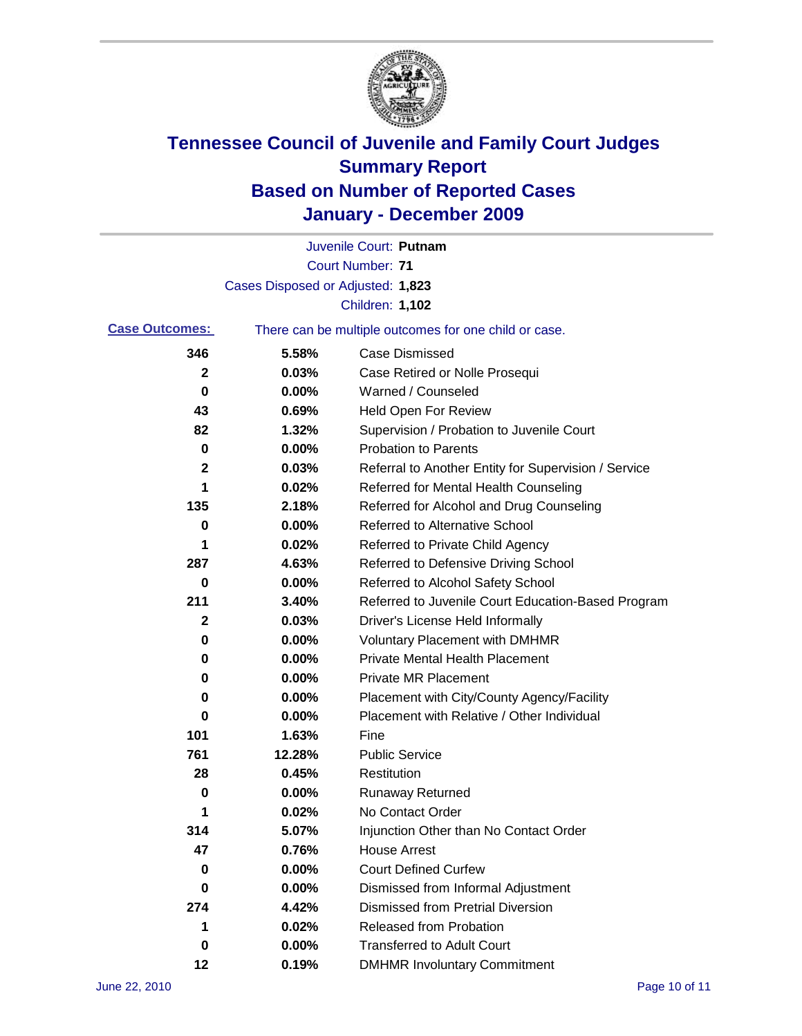

|                       |                                   | Juvenile Court: Putnam                                |
|-----------------------|-----------------------------------|-------------------------------------------------------|
|                       |                                   | <b>Court Number: 71</b>                               |
|                       | Cases Disposed or Adjusted: 1,823 |                                                       |
|                       |                                   | <b>Children: 1,102</b>                                |
| <b>Case Outcomes:</b> |                                   | There can be multiple outcomes for one child or case. |
| 346                   | 5.58%                             | <b>Case Dismissed</b>                                 |
| $\mathbf{2}$          | 0.03%                             | Case Retired or Nolle Prosequi                        |
| 0                     | 0.00%                             | Warned / Counseled                                    |
| 43                    | 0.69%                             | Held Open For Review                                  |
| 82                    | 1.32%                             | Supervision / Probation to Juvenile Court             |
| 0                     | 0.00%                             | <b>Probation to Parents</b>                           |
| 2                     | 0.03%                             | Referral to Another Entity for Supervision / Service  |
| 1                     | 0.02%                             | Referred for Mental Health Counseling                 |
| 135                   | 2.18%                             | Referred for Alcohol and Drug Counseling              |
| 0                     | 0.00%                             | <b>Referred to Alternative School</b>                 |
| 1                     | 0.02%                             | Referred to Private Child Agency                      |
| 287                   | 4.63%                             | Referred to Defensive Driving School                  |
| 0                     | 0.00%                             | Referred to Alcohol Safety School                     |
| 211                   | 3.40%                             | Referred to Juvenile Court Education-Based Program    |
| 2                     | 0.03%                             | Driver's License Held Informally                      |
| 0                     | 0.00%                             | <b>Voluntary Placement with DMHMR</b>                 |
| 0                     | 0.00%                             | <b>Private Mental Health Placement</b>                |
| 0                     | 0.00%                             | <b>Private MR Placement</b>                           |
| 0                     | 0.00%                             | Placement with City/County Agency/Facility            |
| 0                     | 0.00%                             | Placement with Relative / Other Individual            |
| 101                   | 1.63%                             | Fine                                                  |
| 761                   | 12.28%                            | <b>Public Service</b>                                 |
| 28                    | 0.45%                             | Restitution                                           |
| 0                     | 0.00%                             | <b>Runaway Returned</b>                               |
| 1                     | 0.02%                             | No Contact Order                                      |
| 314                   | 5.07%                             | Injunction Other than No Contact Order                |
| 47                    | 0.76%                             | <b>House Arrest</b>                                   |
| 0                     | $0.00\%$                          | <b>Court Defined Curfew</b>                           |
| 0                     | 0.00%                             | Dismissed from Informal Adjustment                    |
| 274                   | 4.42%                             | <b>Dismissed from Pretrial Diversion</b>              |
| 1                     | 0.02%                             | Released from Probation                               |
| 0                     | $0.00\%$                          | <b>Transferred to Adult Court</b>                     |
| 12                    | 0.19%                             | <b>DMHMR Involuntary Commitment</b>                   |